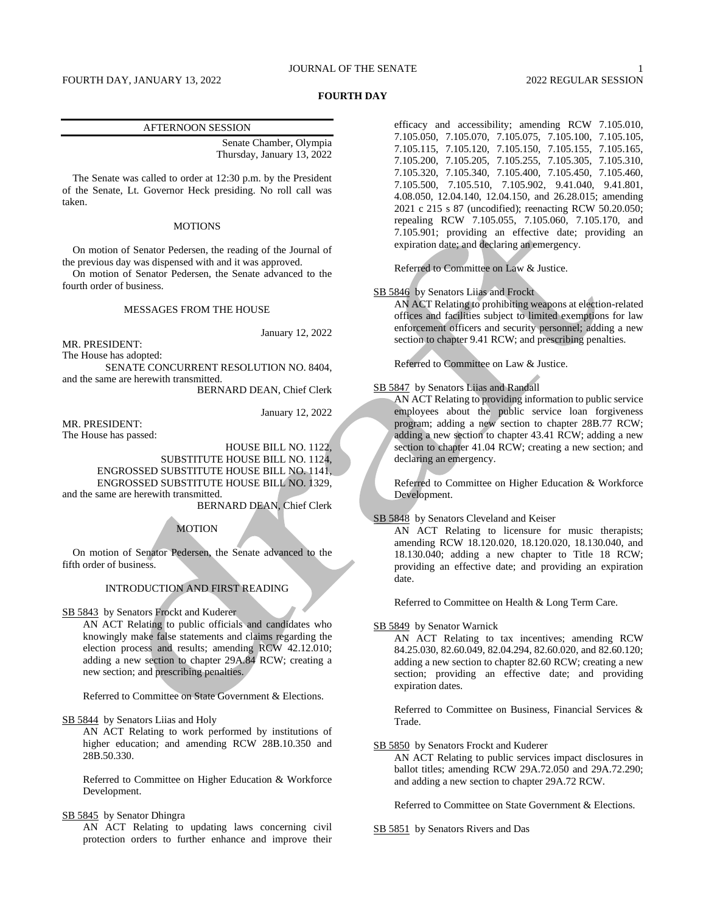### JOURNAL OF THE SENATE 1

#### **FOURTH DAY**

#### AFTERNOON SESSION

Senate Chamber, Olympia Thursday, January 13, 2022

The Senate was called to order at 12:30 p.m. by the President of the Senate, Lt. Governor Heck presiding. No roll call was taken.

## MOTIONS

On motion of Senator Pedersen, the reading of the Journal of the previous day was dispensed with and it was approved.

On motion of Senator Pedersen, the Senate advanced to the fourth order of business.

### MESSAGES FROM THE HOUSE

January 12, 2022

MR. PRESIDENT:

The House has adopted:

SENATE CONCURRENT RESOLUTION NO. 8404, and the same are herewith transmitted.

BERNARD DEAN, Chief Clerk

January 12, 2022

MR. PRESIDENT: The House has passed:

> HOUSE BILL NO. 1122, SUBSTITUTE HOUSE BILL NO. 1124,

ENGROSSED SUBSTITUTE HOUSE BILL NO. 1141, ENGROSSED SUBSTITUTE HOUSE BILL NO. 1329,

and the same are herewith transmitted.

BERNARD DEAN, Chief Clerk

#### MOTION

On motion of Senator Pedersen, the Senate advanced to the fifth order of business.

## INTRODUCTION AND FIRST READING

SB 5843 by Senators Frockt and Kuderer

AN ACT Relating to public officials and candidates who knowingly make false statements and claims regarding the election process and results; amending RCW 42.12.010; adding a new section to chapter 29A.84 RCW; creating a new section; and prescribing penalties.

Referred to Committee on State Government & Elections.

SB 5844 by Senators Liias and Holy

AN ACT Relating to work performed by institutions of higher education; and amending RCW 28B.10.350 and 28B.50.330.

Referred to Committee on Higher Education & Workforce Development.

## SB 5845 by Senator Dhingra

AN ACT Relating to updating laws concerning civil protection orders to further enhance and improve their efficacy and accessibility; amending RCW 7.105.010, 7.105.050, 7.105.070, 7.105.075, 7.105.100, 7.105.105, 7.105.115, 7.105.120, 7.105.150, 7.105.155, 7.105.165, 7.105.200, 7.105.205, 7.105.255, 7.105.305, 7.105.310, 7.105.320, 7.105.340, 7.105.400, 7.105.450, 7.105.460, 7.105.500, 7.105.510, 7.105.902, 9.41.040, 9.41.801, 4.08.050, 12.04.140, 12.04.150, and 26.28.015; amending 2021 c 215 s 87 (uncodified); reenacting RCW 50.20.050; repealing RCW 7.105.055, 7.105.060, 7.105.170, and 7.105.901; providing an effective date; providing an expiration date; and declaring an emergency.

Referred to Committee on Law & Justice.

### SB 5846 by Senators Liias and Frockt

AN ACT Relating to prohibiting weapons at election-related offices and facilities subject to limited exemptions for law enforcement officers and security personnel; adding a new section to chapter 9.41 RCW; and prescribing penalties.

Referred to Committee on Law & Justice.

## SB 5847 by Senators Liias and Randall

AN ACT Relating to providing information to public service employees about the public service loan forgiveness program; adding a new section to chapter 28B.77 RCW; adding a new section to chapter 43.41 RCW; adding a new section to chapter 41.04 RCW; creating a new section; and declaring an emergency.

Referred to Committee on Higher Education & Workforce Development.

### SB 5848 by Senators Cleveland and Keiser

AN ACT Relating to licensure for music therapists; amending RCW 18.120.020, 18.120.020, 18.130.040, and 18.130.040; adding a new chapter to Title 18 RCW; providing an effective date; and providing an expiration date.

Referred to Committee on Health & Long Term Care.

SB 5849 by Senator Warnick

AN ACT Relating to tax incentives; amending RCW 84.25.030, 82.60.049, 82.04.294, 82.60.020, and 82.60.120; adding a new section to chapter 82.60 RCW; creating a new section; providing an effective date; and providing expiration dates.

Referred to Committee on Business, Financial Services & Trade.

SB 5850 by Senators Frockt and Kuderer

AN ACT Relating to public services impact disclosures in ballot titles; amending RCW 29A.72.050 and 29A.72.290; and adding a new section to chapter 29A.72 RCW.

Referred to Committee on State Government & Elections.

SB 5851 by Senators Rivers and Das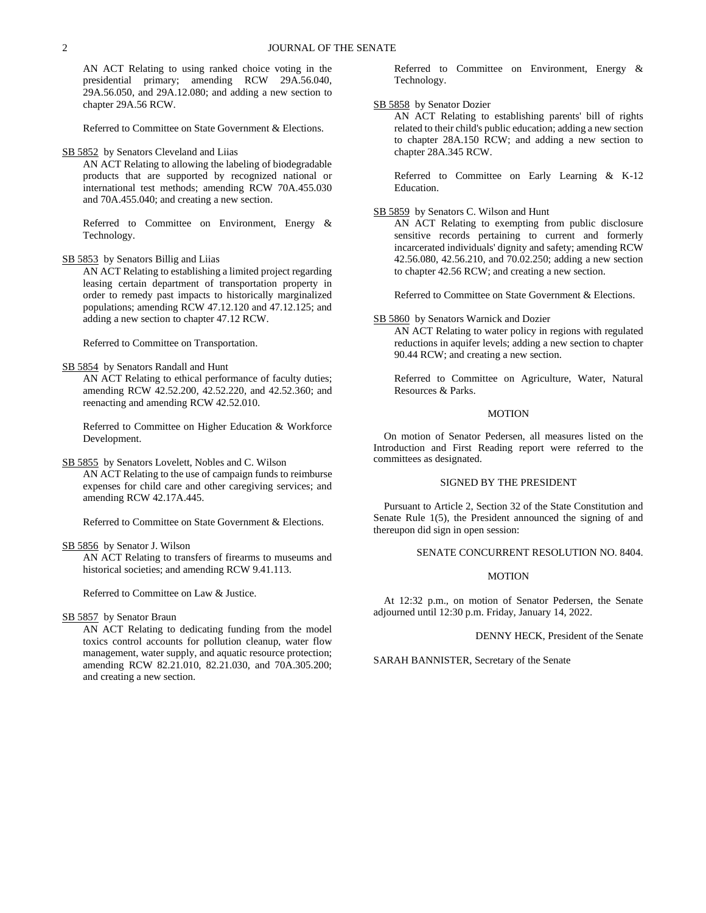AN ACT Relating to using ranked choice voting in the presidential primary; amending RCW 29A.56.040, 29A.56.050, and 29A.12.080; and adding a new section to chapter 29A.56 RCW.

Referred to Committee on State Government & Elections.

### SB 5852 by Senators Cleveland and Liias

AN ACT Relating to allowing the labeling of biodegradable products that are supported by recognized national or international test methods; amending RCW 70A.455.030 and 70A.455.040; and creating a new section.

Referred to Committee on Environment, Energy & Technology.

### SB 5853 by Senators Billig and Liias

AN ACT Relating to establishing a limited project regarding leasing certain department of transportation property in order to remedy past impacts to historically marginalized populations; amending RCW 47.12.120 and 47.12.125; and adding a new section to chapter 47.12 RCW.

Referred to Committee on Transportation.

SB 5854 by Senators Randall and Hunt

AN ACT Relating to ethical performance of faculty duties; amending RCW 42.52.200, 42.52.220, and 42.52.360; and reenacting and amending RCW 42.52.010.

Referred to Committee on Higher Education & Workforce Development.

#### SB 5855 by Senators Lovelett, Nobles and C. Wilson

AN ACT Relating to the use of campaign funds to reimburse expenses for child care and other caregiving services; and amending RCW 42.17A.445.

Referred to Committee on State Government & Elections.

## SB 5856 by Senator J. Wilson

AN ACT Relating to transfers of firearms to museums and historical societies; and amending RCW 9.41.113.

Referred to Committee on Law & Justice.

SB 5857 by Senator Braun

AN ACT Relating to dedicating funding from the model toxics control accounts for pollution cleanup, water flow management, water supply, and aquatic resource protection; amending RCW 82.21.010, 82.21.030, and 70A.305.200; and creating a new section.

Referred to Committee on Environment, Energy & Technology.

#### SB 5858 by Senator Dozier

AN ACT Relating to establishing parents' bill of rights related to their child's public education; adding a new section to chapter 28A.150 RCW; and adding a new section to chapter 28A.345 RCW.

Referred to Committee on Early Learning & K-12 Education.

#### SB 5859 by Senators C. Wilson and Hunt

AN ACT Relating to exempting from public disclosure sensitive records pertaining to current and formerly incarcerated individuals' dignity and safety; amending RCW 42.56.080, 42.56.210, and 70.02.250; adding a new section to chapter 42.56 RCW; and creating a new section.

Referred to Committee on State Government & Elections.

#### SB 5860 by Senators Warnick and Dozier

AN ACT Relating to water policy in regions with regulated reductions in aquifer levels; adding a new section to chapter 90.44 RCW; and creating a new section.

Referred to Committee on Agriculture, Water, Natural Resources & Parks.

### MOTION

On motion of Senator Pedersen, all measures listed on the Introduction and First Reading report were referred to the committees as designated.

## SIGNED BY THE PRESIDENT

Pursuant to Article 2, Section 32 of the State Constitution and Senate Rule 1(5), the President announced the signing of and thereupon did sign in open session:

# SENATE CONCURRENT RESOLUTION NO. 8404.

#### MOTION

At 12:32 p.m., on motion of Senator Pedersen, the Senate adjourned until 12:30 p.m. Friday, January 14, 2022.

DENNY HECK, President of the Senate

SARAH BANNISTER, Secretary of the Senate